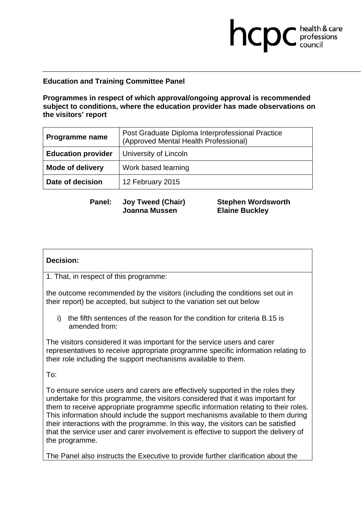# **Education and Training Committee Panel**

**Programmes in respect of which approval/ongoing approval is recommended subject to conditions, where the education provider has made observations on the visitors' report** 

| <b>Programme name</b>     | Post Graduate Diploma Interprofessional Practice<br>(Approved Mental Health Professional) |
|---------------------------|-------------------------------------------------------------------------------------------|
| <b>Education provider</b> | University of Lincoln                                                                     |
| <b>Mode of delivery</b>   | Work based learning                                                                       |
| Date of decision          | 12 February 2015                                                                          |

**Panel: Joy Tweed (Chair) Joanna Mussen** 

**Stephen Wordsworth Elaine Buckley** 

**health & care** 

#### **Decision:**

1. That, in respect of this programme:

the outcome recommended by the visitors (including the conditions set out in their report) be accepted, but subject to the variation set out below

i) the fifth sentences of the reason for the condition for criteria B.15 is amended from:

The visitors considered it was important for the service users and carer representatives to receive appropriate programme specific information relating to their role including the support mechanisms available to them.

To:

To ensure service users and carers are effectively supported in the roles they undertake for this programme, the visitors considered that it was important for them to receive appropriate programme specific information relating to their roles. This information should include the support mechanisms available to them during their interactions with the programme. In this way, the visitors can be satisfied that the service user and carer involvement is effective to support the delivery of the programme.

The Panel also instructs the Executive to provide further clarification about the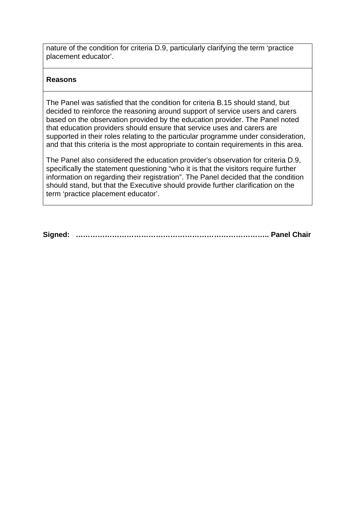nature of the condition for criteria D.9, particularly clarifying the term 'practice placement educator'.

## **Reasons**

The Panel was satisfied that the condition for criteria B.15 should stand, but decided to reinforce the reasoning around support of service users and carers based on the observation provided by the education provider. The Panel noted that education providers should ensure that service uses and carers are supported in their roles relating to the particular programme under consideration, and that this criteria is the most appropriate to contain requirements in this area.

The Panel also considered the education provider's observation for criteria D.9, specifically the statement questioning "who it is that the visitors require further information on regarding their registration". The Panel decided that the condition should stand, but that the Executive should provide further clarification on the term 'practice placement educator'.

**Signed: …………………………………………………………………….. Panel Chair**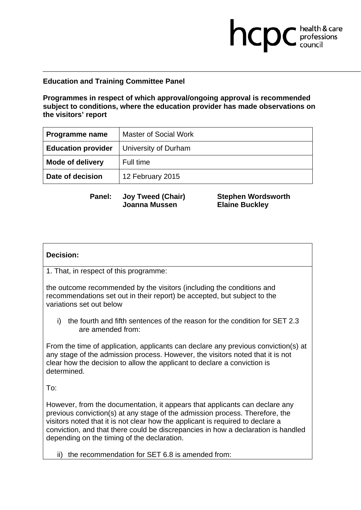## **Education and Training Committee Panel**

**Programmes in respect of which approval/ongoing approval is recommended subject to conditions, where the education provider has made observations on the visitors' report** 

| <b>Programme name</b>     | Master of Social Work |
|---------------------------|-----------------------|
| <b>Education provider</b> | University of Durham  |
| <b>Mode of delivery</b>   | Full time             |
| Date of decision          | 12 February 2015      |

**Panel: Joy Tweed (Chair) Joanna Mussen** 

**Stephen Wordsworth Elaine Buckley** 

**health & care** 

#### **Decision:**

1. That, in respect of this programme:

the outcome recommended by the visitors (including the conditions and recommendations set out in their report) be accepted, but subject to the variations set out below

i) the fourth and fifth sentences of the reason for the condition for SET 2.3 are amended from:

From the time of application, applicants can declare any previous conviction(s) at any stage of the admission process. However, the visitors noted that it is not clear how the decision to allow the applicant to declare a conviction is determined.

To:

However, from the documentation, it appears that applicants can declare any previous conviction(s) at any stage of the admission process. Therefore, the visitors noted that it is not clear how the applicant is required to declare a conviction, and that there could be discrepancies in how a declaration is handled depending on the timing of the declaration.

ii) the recommendation for SET 6.8 is amended from: